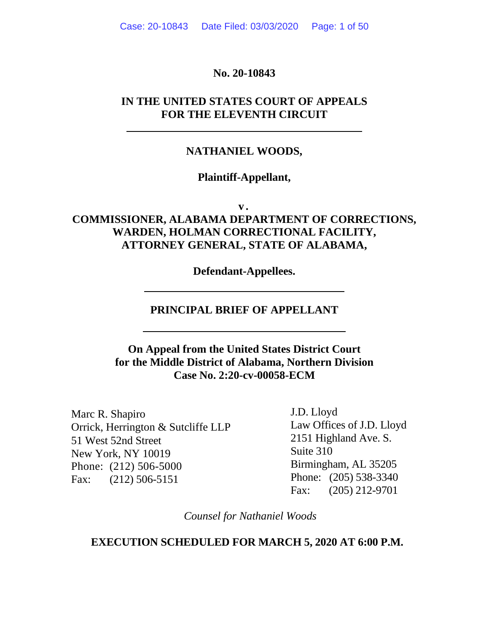### **No. 20-10843**

# **IN THE UNITED STATES COURT OF APPEALS FOR THE ELEVENTH CIRCUIT**

### **NATHANIEL WOODS,**

### **Plaintiff-Appellant,**

**v .** 

# **COMMISSIONER, ALABAMA DEPARTMENT OF CORRECTIONS, WARDEN, HOLMAN CORRECTIONAL FACILITY, ATTORNEY GENERAL, STATE OF ALABAMA,**

**Defendant-Appellees.** 

### **PRINCIPAL BRIEF OF APPELLANT**

# **On Appeal from the United States District Court for the Middle District of Alabama, Northern Division Case No. 2:20-cv-00058-ECM**

Marc R. Shapiro Orrick, Herrington & Sutcliffe LLP 51 West 52nd Street New York, NY 10019 Phone: (212) 506-5000 Fax: (212) 506-5151

J.D. Lloyd Law Offices of J.D. Lloyd 2151 Highland Ave. S. Suite 310 Birmingham, AL 35205 Phone: (205) 538-3340 Fax: (205) 212-9701

*Counsel for Nathaniel Woods* 

### **EXECUTION SCHEDULED FOR MARCH 5, 2020 AT 6:00 P.M.**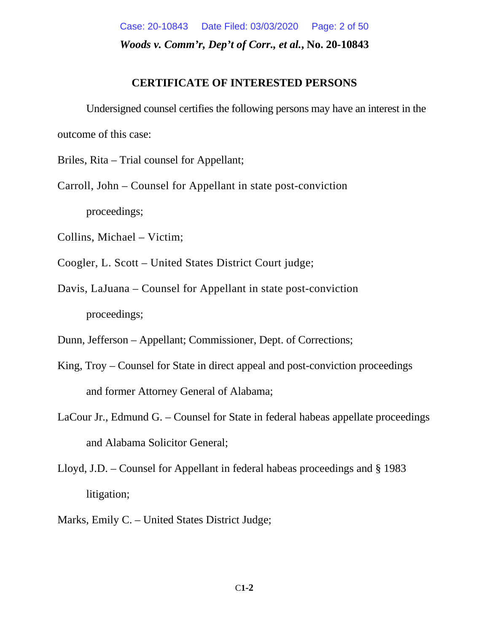*Woods v. Comm'r, Dep't of Corr., et al.***, No. 20-10843**  Case: 20-10843 Date Filed: 03/03/2020 Page: 2 of 50

### **CERTIFICATE OF INTERESTED PERSONS**

Undersigned counsel certifies the following persons may have an interest in the outcome of this case:

Briles, Rita – Trial counsel for Appellant;

Carroll, John – Counsel for Appellant in state post-conviction proceedings;

Collins, Michael – Victim;

- Coogler, L. Scott United States District Court judge;
- Davis, LaJuana Counsel for Appellant in state post-conviction proceedings;

Dunn, Jefferson – Appellant; Commissioner, Dept. of Corrections;

- King, Troy Counsel for State in direct appeal and post-conviction proceedings and former Attorney General of Alabama;
- LaCour Jr., Edmund G. Counsel for State in federal habeas appellate proceedings and Alabama Solicitor General;
- Lloyd, J.D. Counsel for Appellant in federal habeas proceedings and § 1983 litigation;
- Marks, Emily C. United States District Judge;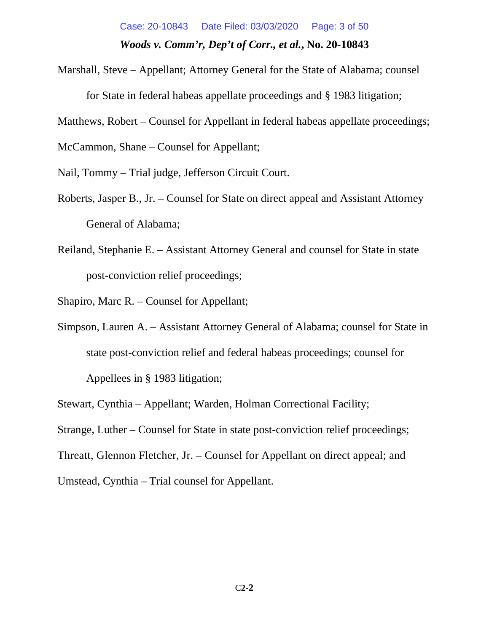# *Woods v. Comm'r, Dep't of Corr., et al.***, No. 20-10843**  Case: 20-10843 Date Filed: 03/03/2020 Page: 3 of 50

Marshall, Steve – Appellant; Attorney General for the State of Alabama; counsel for State in federal habeas appellate proceedings and § 1983 litigation;

Matthews, Robert – Counsel for Appellant in federal habeas appellate proceedings;

McCammon, Shane – Counsel for Appellant;

Nail, Tommy – Trial judge, Jefferson Circuit Court.

- Roberts, Jasper B., Jr. Counsel for State on direct appeal and Assistant Attorney General of Alabama;
- Reiland, Stephanie E. Assistant Attorney General and counsel for State in state post-conviction relief proceedings;

Shapiro, Marc R. – Counsel for Appellant;

Simpson, Lauren A. – Assistant Attorney General of Alabama; counsel for State in state post-conviction relief and federal habeas proceedings; counsel for Appellees in § 1983 litigation;

Stewart, Cynthia – Appellant; Warden, Holman Correctional Facility;

Strange, Luther – Counsel for State in state post-conviction relief proceedings;

Threatt, Glennon Fletcher, Jr. – Counsel for Appellant on direct appeal; and

Umstead, Cynthia – Trial counsel for Appellant.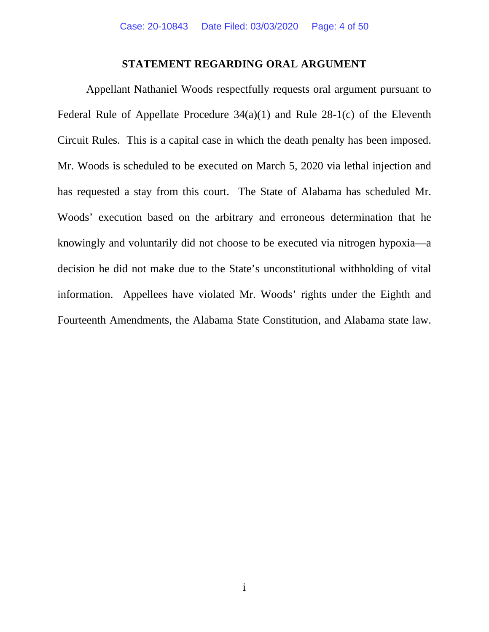#### **STATEMENT REGARDING ORAL ARGUMENT**

Appellant Nathaniel Woods respectfully requests oral argument pursuant to Federal Rule of Appellate Procedure 34(a)(1) and Rule 28-1(c) of the Eleventh Circuit Rules. This is a capital case in which the death penalty has been imposed. Mr. Woods is scheduled to be executed on March 5, 2020 via lethal injection and has requested a stay from this court. The State of Alabama has scheduled Mr. Woods' execution based on the arbitrary and erroneous determination that he knowingly and voluntarily did not choose to be executed via nitrogen hypoxia—a decision he did not make due to the State's unconstitutional withholding of vital information. Appellees have violated Mr. Woods' rights under the Eighth and Fourteenth Amendments, the Alabama State Constitution, and Alabama state law.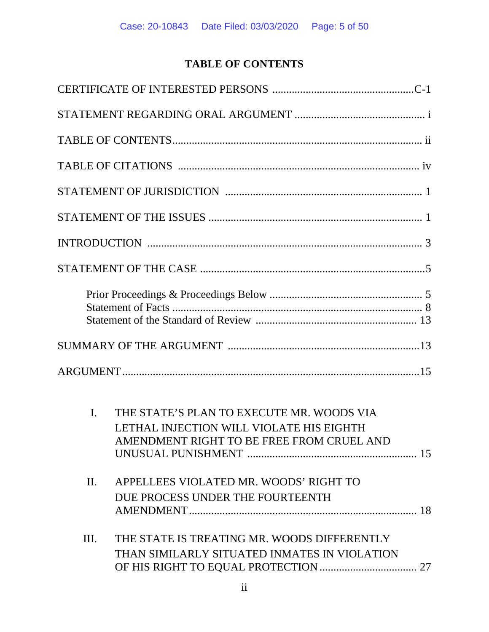# **TABLE OF CONTENTS**

| $\mathbf{I}$ . | THE STATE'S PLAN TO EXECUTE MR. WOODS VIA<br>LETHAL INJECTION WILL VIOLATE HIS EIGHTH<br>AMENDMENT RIGHT TO BE FREE FROM CRUEL AND |
|----------------|------------------------------------------------------------------------------------------------------------------------------------|
| $\Pi$ .        | APPELLEES VIOLATED MR. WOODS' RIGHT TO<br>DUE PROCESS UNDER THE FOURTEENTH                                                         |
| Ш.             | THE STATE IS TREATING MR. WOODS DIFFERENTLY<br>THAN SIMILARLY SITUATED INMATES IN VIOLATION                                        |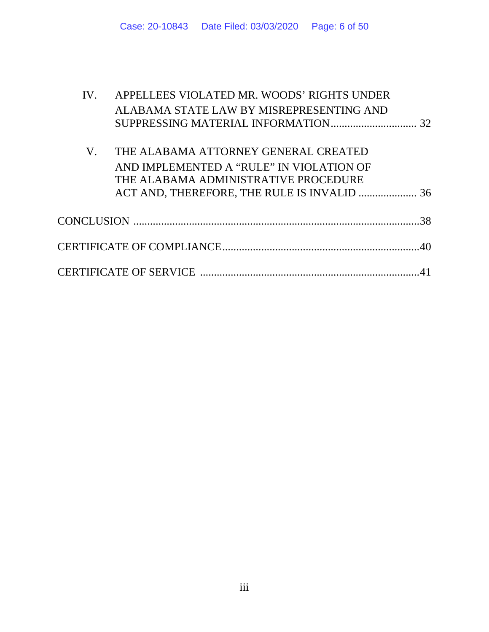| IV. | APPELLEES VIOLATED MR. WOODS' RIGHTS UNDER |    |  |  |
|-----|--------------------------------------------|----|--|--|
|     | ALABAMA STATE LAW BY MISREPRESENTING AND   |    |  |  |
|     |                                            |    |  |  |
|     |                                            |    |  |  |
| V.  | THE ALABAMA ATTORNEY GENERAL CREATED       |    |  |  |
|     | AND IMPLEMENTED A "RULE" IN VIOLATION OF   |    |  |  |
|     | THE ALABAMA ADMINISTRATIVE PROCEDURE       |    |  |  |
|     |                                            |    |  |  |
|     |                                            |    |  |  |
|     |                                            | 38 |  |  |
|     |                                            |    |  |  |
|     |                                            |    |  |  |
|     |                                            |    |  |  |
|     |                                            |    |  |  |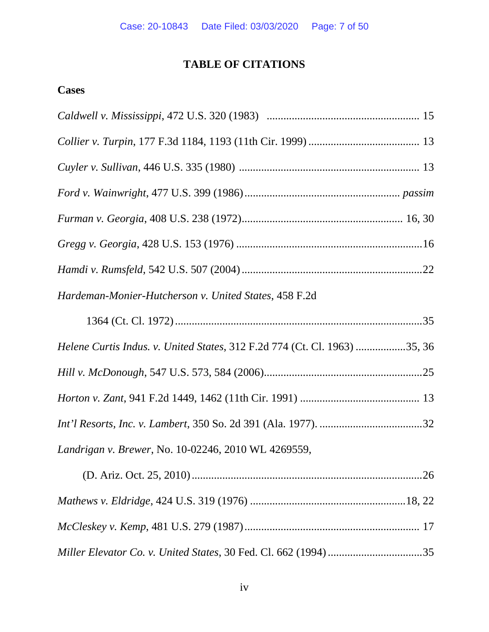# **TABLE OF CITATIONS**

# **Cases**

| Hardeman-Monier-Hutcherson v. United States, 458 F.2d                     |
|---------------------------------------------------------------------------|
|                                                                           |
| Helene Curtis Indus. v. United States, 312 F.2d 774 (Ct. Cl. 1963) 35, 36 |
|                                                                           |
|                                                                           |
|                                                                           |
| Landrigan v. Brewer, No. 10-02246, 2010 WL 4269559,                       |
|                                                                           |
|                                                                           |
|                                                                           |
|                                                                           |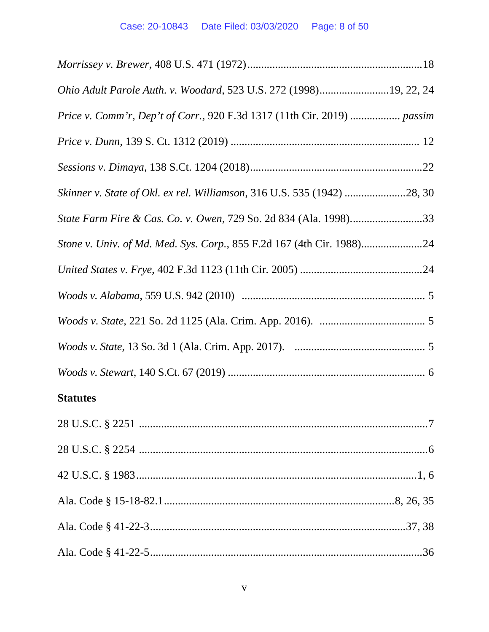| Ohio Adult Parole Auth. v. Woodard, 523 U.S. 272 (1998)19, 22, 24       |  |
|-------------------------------------------------------------------------|--|
| Price v. Comm'r, Dep't of Corr., 920 F.3d 1317 (11th Cir. 2019)  passim |  |
|                                                                         |  |
|                                                                         |  |
|                                                                         |  |
|                                                                         |  |
|                                                                         |  |
|                                                                         |  |
|                                                                         |  |
|                                                                         |  |
|                                                                         |  |
|                                                                         |  |
| <b>Statutes</b>                                                         |  |
|                                                                         |  |
|                                                                         |  |
|                                                                         |  |
|                                                                         |  |
|                                                                         |  |
|                                                                         |  |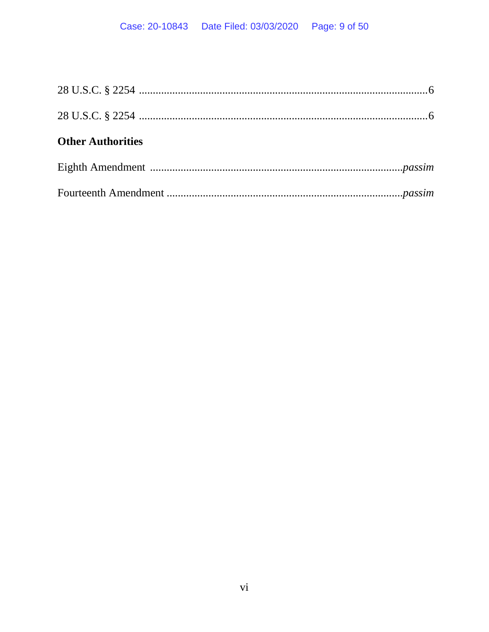| <b>Other Authorities</b> |  |
|--------------------------|--|
|                          |  |
|                          |  |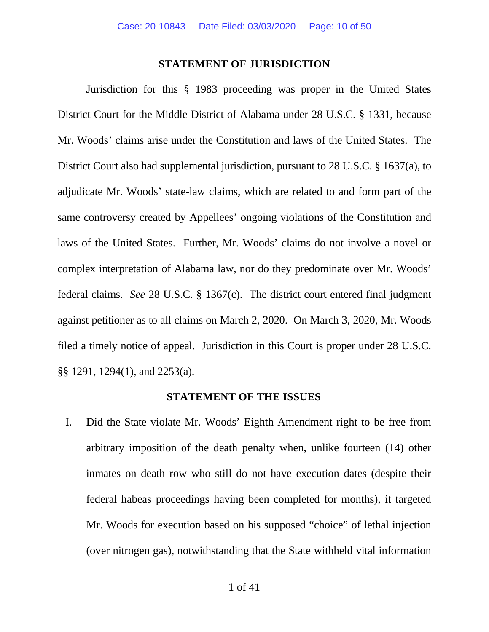#### **STATEMENT OF JURISDICTION**

Jurisdiction for this § 1983 proceeding was proper in the United States District Court for the Middle District of Alabama under 28 U.S.C. § 1331, because Mr. Woods' claims arise under the Constitution and laws of the United States. The District Court also had supplemental jurisdiction, pursuant to 28 U.S.C. § 1637(a), to adjudicate Mr. Woods' state-law claims, which are related to and form part of the same controversy created by Appellees' ongoing violations of the Constitution and laws of the United States. Further, Mr. Woods' claims do not involve a novel or complex interpretation of Alabama law, nor do they predominate over Mr. Woods' federal claims. *See* 28 U.S.C. § 1367(c). The district court entered final judgment against petitioner as to all claims on March 2, 2020. On March 3, 2020, Mr. Woods filed a timely notice of appeal. Jurisdiction in this Court is proper under 28 U.S.C. §§ 1291, 1294(1), and 2253(a).

#### **STATEMENT OF THE ISSUES**

I. Did the State violate Mr. Woods' Eighth Amendment right to be free from arbitrary imposition of the death penalty when, unlike fourteen (14) other inmates on death row who still do not have execution dates (despite their federal habeas proceedings having been completed for months), it targeted Mr. Woods for execution based on his supposed "choice" of lethal injection (over nitrogen gas), notwithstanding that the State withheld vital information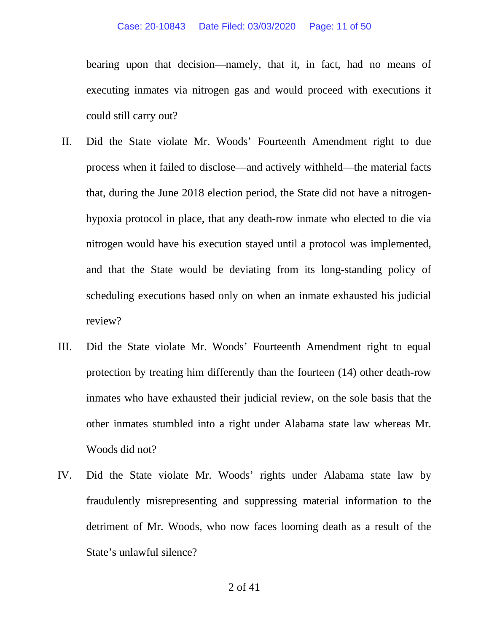bearing upon that decision—namely, that it, in fact, had no means of executing inmates via nitrogen gas and would proceed with executions it could still carry out?

- II. Did the State violate Mr. Woods' Fourteenth Amendment right to due process when it failed to disclose—and actively withheld—the material facts that, during the June 2018 election period, the State did not have a nitrogenhypoxia protocol in place, that any death-row inmate who elected to die via nitrogen would have his execution stayed until a protocol was implemented, and that the State would be deviating from its long-standing policy of scheduling executions based only on when an inmate exhausted his judicial review?
- III. Did the State violate Mr. Woods' Fourteenth Amendment right to equal protection by treating him differently than the fourteen (14) other death-row inmates who have exhausted their judicial review, on the sole basis that the other inmates stumbled into a right under Alabama state law whereas Mr. Woods did not?
- IV. Did the State violate Mr. Woods' rights under Alabama state law by fraudulently misrepresenting and suppressing material information to the detriment of Mr. Woods, who now faces looming death as a result of the State's unlawful silence?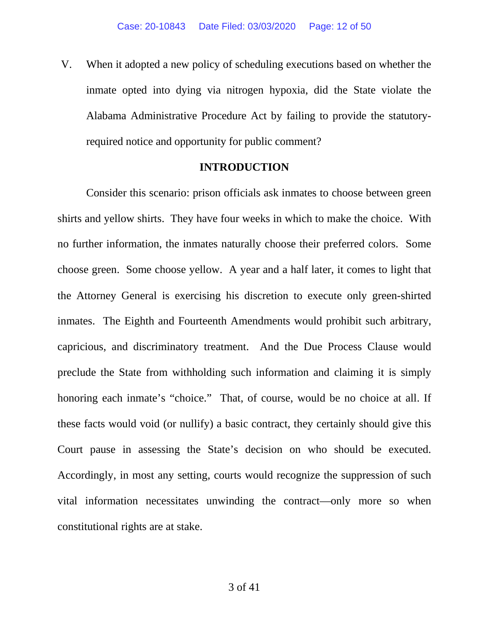V. When it adopted a new policy of scheduling executions based on whether the inmate opted into dying via nitrogen hypoxia, did the State violate the Alabama Administrative Procedure Act by failing to provide the statutoryrequired notice and opportunity for public comment?

### **INTRODUCTION**

Consider this scenario: prison officials ask inmates to choose between green shirts and yellow shirts. They have four weeks in which to make the choice. With no further information, the inmates naturally choose their preferred colors. Some choose green. Some choose yellow. A year and a half later, it comes to light that the Attorney General is exercising his discretion to execute only green-shirted inmates. The Eighth and Fourteenth Amendments would prohibit such arbitrary, capricious, and discriminatory treatment. And the Due Process Clause would preclude the State from withholding such information and claiming it is simply honoring each inmate's "choice." That, of course, would be no choice at all. If these facts would void (or nullify) a basic contract, they certainly should give this Court pause in assessing the State's decision on who should be executed. Accordingly, in most any setting, courts would recognize the suppression of such vital information necessitates unwinding the contract—only more so when constitutional rights are at stake.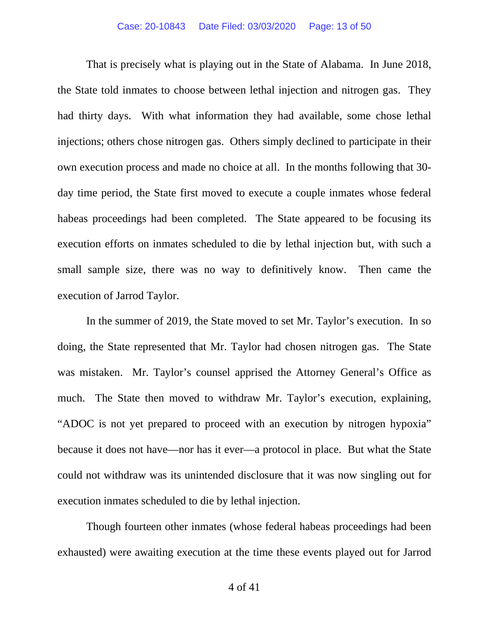That is precisely what is playing out in the State of Alabama. In June 2018, the State told inmates to choose between lethal injection and nitrogen gas. They had thirty days. With what information they had available, some chose lethal injections; others chose nitrogen gas. Others simply declined to participate in their own execution process and made no choice at all. In the months following that 30 day time period, the State first moved to execute a couple inmates whose federal habeas proceedings had been completed. The State appeared to be focusing its execution efforts on inmates scheduled to die by lethal injection but, with such a small sample size, there was no way to definitively know. Then came the execution of Jarrod Taylor.

In the summer of 2019, the State moved to set Mr. Taylor's execution. In so doing, the State represented that Mr. Taylor had chosen nitrogen gas. The State was mistaken. Mr. Taylor's counsel apprised the Attorney General's Office as much. The State then moved to withdraw Mr. Taylor's execution, explaining, "ADOC is not yet prepared to proceed with an execution by nitrogen hypoxia" because it does not have—nor has it ever—a protocol in place. But what the State could not withdraw was its unintended disclosure that it was now singling out for execution inmates scheduled to die by lethal injection.

Though fourteen other inmates (whose federal habeas proceedings had been exhausted) were awaiting execution at the time these events played out for Jarrod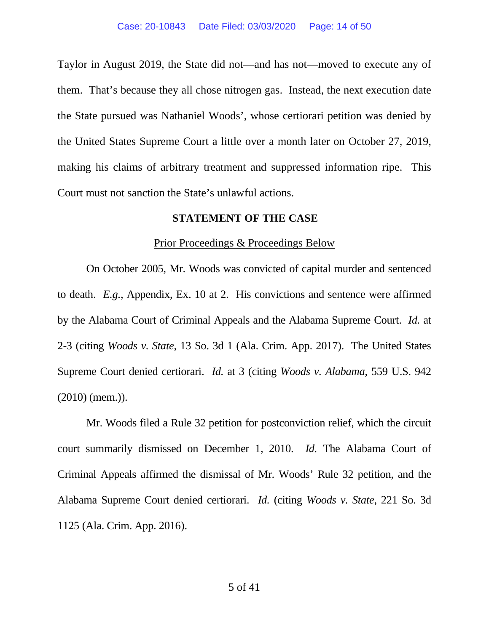Taylor in August 2019, the State did not—and has not—moved to execute any of them. That's because they all chose nitrogen gas. Instead, the next execution date the State pursued was Nathaniel Woods', whose certiorari petition was denied by the United States Supreme Court a little over a month later on October 27, 2019, making his claims of arbitrary treatment and suppressed information ripe. This Court must not sanction the State's unlawful actions.

### **STATEMENT OF THE CASE**

#### Prior Proceedings & Proceedings Below

On October 2005, Mr. Woods was convicted of capital murder and sentenced to death. *E.g.*, Appendix, Ex. 10 at 2. His convictions and sentence were affirmed by the Alabama Court of Criminal Appeals and the Alabama Supreme Court. *Id.* at 2-3 (citing *Woods v. State*, 13 So. 3d 1 (Ala. Crim. App. 2017). The United States Supreme Court denied certiorari. *Id.* at 3 (citing *Woods v. Alabama*, 559 U.S. 942 (2010) (mem.)).

Mr. Woods filed a Rule 32 petition for postconviction relief, which the circuit court summarily dismissed on December 1, 2010. *Id.* The Alabama Court of Criminal Appeals affirmed the dismissal of Mr. Woods' Rule 32 petition, and the Alabama Supreme Court denied certiorari. *Id.* (citing *Woods v. State*, 221 So. 3d 1125 (Ala. Crim. App. 2016).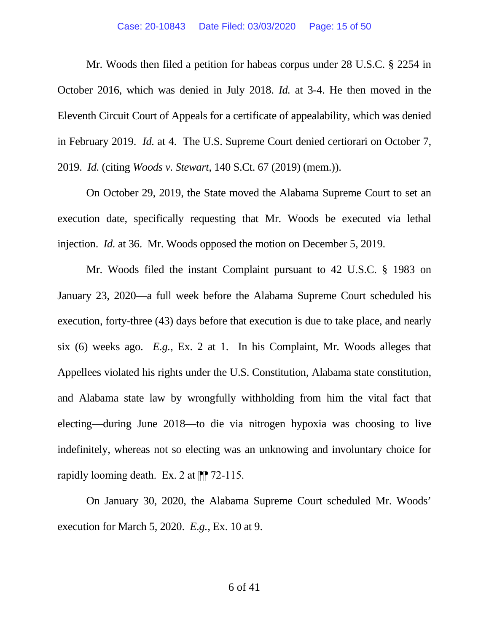#### Case: 20-10843 Date Filed: 03/03/2020 Page: 15 of 50

Mr. Woods then filed a petition for habeas corpus under 28 U.S.C. § 2254 in October 2016, which was denied in July 2018. *Id.* at 3-4. He then moved in the Eleventh Circuit Court of Appeals for a certificate of appealability, which was denied in February 2019. *Id.* at 4. The U.S. Supreme Court denied certiorari on October 7, 2019. *Id.* (citing *Woods v. Stewart*, 140 S.Ct. 67 (2019) (mem.)).

On October 29, 2019, the State moved the Alabama Supreme Court to set an execution date, specifically requesting that Mr. Woods be executed via lethal injection. *Id.* at 36. Mr. Woods opposed the motion on December 5, 2019.

Mr. Woods filed the instant Complaint pursuant to 42 U.S.C. § 1983 on January 23, 2020—a full week before the Alabama Supreme Court scheduled his execution, forty-three (43) days before that execution is due to take place, and nearly six (6) weeks ago. *E.g.*, Ex. 2 at 1. In his Complaint, Mr. Woods alleges that Appellees violated his rights under the U.S. Constitution, Alabama state constitution, and Alabama state law by wrongfully withholding from him the vital fact that electing—during June 2018—to die via nitrogen hypoxia was choosing to live indefinitely, whereas not so electing was an unknowing and involuntary choice for rapidly looming death. Ex. 2 at  $\mathbb{P}$  72-115.

On January 30, 2020, the Alabama Supreme Court scheduled Mr. Woods' execution for March 5, 2020. *E.g.*, Ex. 10 at 9.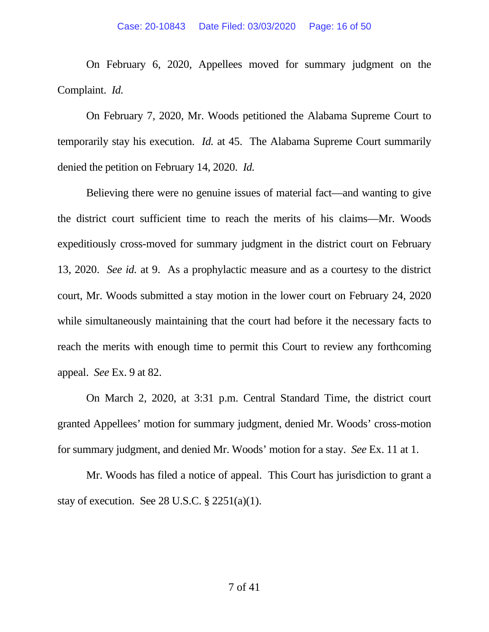On February 6, 2020, Appellees moved for summary judgment on the Complaint. *Id.*

On February 7, 2020, Mr. Woods petitioned the Alabama Supreme Court to temporarily stay his execution. *Id.* at 45. The Alabama Supreme Court summarily denied the petition on February 14, 2020. *Id.* 

Believing there were no genuine issues of material fact—and wanting to give the district court sufficient time to reach the merits of his claims—Mr. Woods expeditiously cross-moved for summary judgment in the district court on February 13, 2020. *See id.* at 9. As a prophylactic measure and as a courtesy to the district court, Mr. Woods submitted a stay motion in the lower court on February 24, 2020 while simultaneously maintaining that the court had before it the necessary facts to reach the merits with enough time to permit this Court to review any forthcoming appeal. *See* Ex. 9 at 82.

On March 2, 2020, at 3:31 p.m. Central Standard Time, the district court granted Appellees' motion for summary judgment, denied Mr. Woods' cross-motion for summary judgment, and denied Mr. Woods' motion for a stay. *See* Ex. 11 at 1.

Mr. Woods has filed a notice of appeal. This Court has jurisdiction to grant a stay of execution. See 28 U.S.C.  $\S$  2251(a)(1).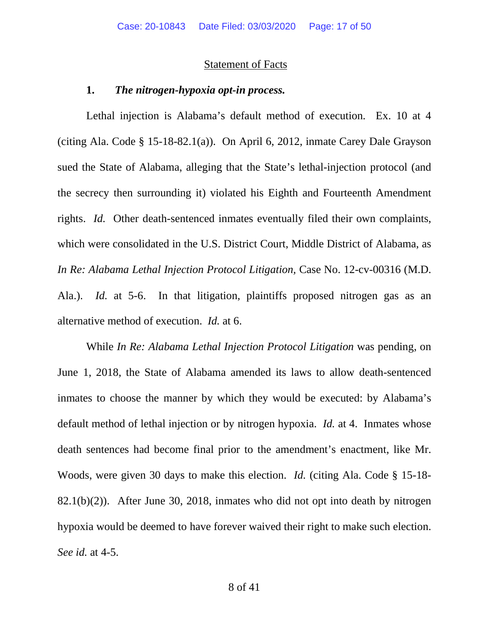#### Statement of Facts

### **1.** *The nitrogen-hypoxia opt-in process.*

Lethal injection is Alabama's default method of execution. Ex. 10 at 4 (citing Ala. Code § 15-18-82.1(a)). On April 6, 2012, inmate Carey Dale Grayson sued the State of Alabama, alleging that the State's lethal-injection protocol (and the secrecy then surrounding it) violated his Eighth and Fourteenth Amendment rights. *Id.* Other death-sentenced inmates eventually filed their own complaints, which were consolidated in the U.S. District Court, Middle District of Alabama, as *In Re: Alabama Lethal Injection Protocol Litigation, Case No. 12-cv-00316 (M.D.* Ala.). *Id.* at 5-6. In that litigation, plaintiffs proposed nitrogen gas as an alternative method of execution. *Id.* at 6.

While *In Re: Alabama Lethal Injection Protocol Litigation* was pending, on June 1, 2018, the State of Alabama amended its laws to allow death-sentenced inmates to choose the manner by which they would be executed: by Alabama's default method of lethal injection or by nitrogen hypoxia. *Id.* at 4. Inmates whose death sentences had become final prior to the amendment's enactment, like Mr. Woods, were given 30 days to make this election. *Id.* (citing Ala. Code § 15-18- 82.1(b)(2)). After June 30, 2018, inmates who did not opt into death by nitrogen hypoxia would be deemed to have forever waived their right to make such election. *See id.* at 4-5.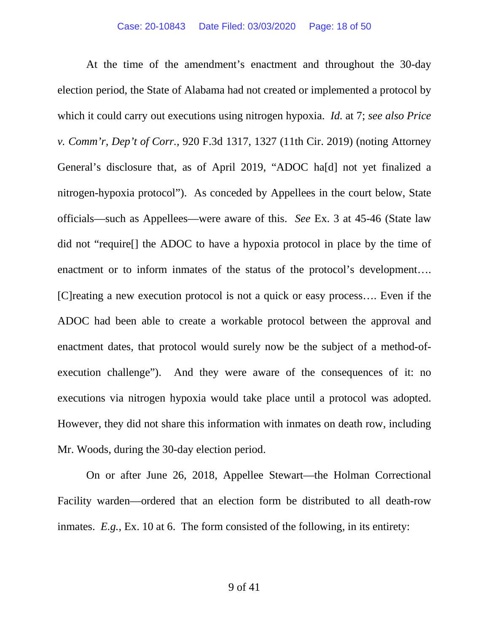At the time of the amendment's enactment and throughout the 30-day election period, the State of Alabama had not created or implemented a protocol by which it could carry out executions using nitrogen hypoxia. *Id.* at 7; *see also Price v. Comm'r, Dep't of Corr.,* 920 F.3d 1317, 1327 (11th Cir. 2019) (noting Attorney General's disclosure that, as of April 2019, "ADOC ha[d] not yet finalized a nitrogen-hypoxia protocol"). As conceded by Appellees in the court below, State officials—such as Appellees—were aware of this. *See* Ex. 3 at 45-46 (State law did not "require[] the ADOC to have a hypoxia protocol in place by the time of enactment or to inform inmates of the status of the protocol's development.... [C]reating a new execution protocol is not a quick or easy process…. Even if the ADOC had been able to create a workable protocol between the approval and enactment dates, that protocol would surely now be the subject of a method-ofexecution challenge"). And they were aware of the consequences of it: no executions via nitrogen hypoxia would take place until a protocol was adopted. However, they did not share this information with inmates on death row, including Mr. Woods, during the 30-day election period.

On or after June 26, 2018, Appellee Stewart—the Holman Correctional Facility warden—ordered that an election form be distributed to all death-row inmates. *E.g.*, Ex. 10 at 6. The form consisted of the following, in its entirety: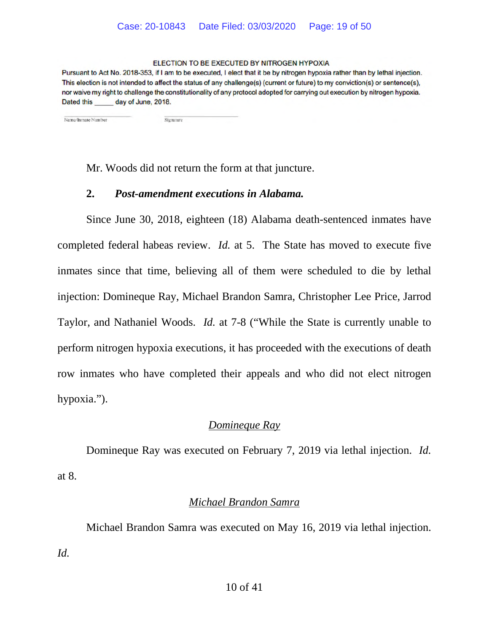#### ELECTION TO BE EXECUTED BY NITROGEN HYPOXIA

Pursuant to Act No. 2018-353, if I am to be executed, I elect that it be by nitrogen hypoxia rather than by lethal injection. This election is not intended to affect the status of any challenge(s) (current or future) to my conviction(s) or sentence(s), nor waive my right to challenge the constitutionality of any protocol adopted for carrying out execution by nitrogen hypoxia. Dated this day of June, 2018.

Name/Inmate Number

Mr. Woods did not return the form at that juncture.

## **2.** *Post-amendment executions in Alabama.*

Signature

Since June 30, 2018, eighteen (18) Alabama death-sentenced inmates have completed federal habeas review. *Id.* at 5. The State has moved to execute five inmates since that time, believing all of them were scheduled to die by lethal injection: Domineque Ray, Michael Brandon Samra, Christopher Lee Price, Jarrod Taylor, and Nathaniel Woods. *Id.* at 7-8 ("While the State is currently unable to perform nitrogen hypoxia executions, it has proceeded with the executions of death row inmates who have completed their appeals and who did not elect nitrogen hypoxia.").

## *Domineque Ray*

Domineque Ray was executed on February 7, 2019 via lethal injection. *Id.* at 8.

## *Michael Brandon Samra*

Michael Brandon Samra was executed on May 16, 2019 via lethal injection. *Id.*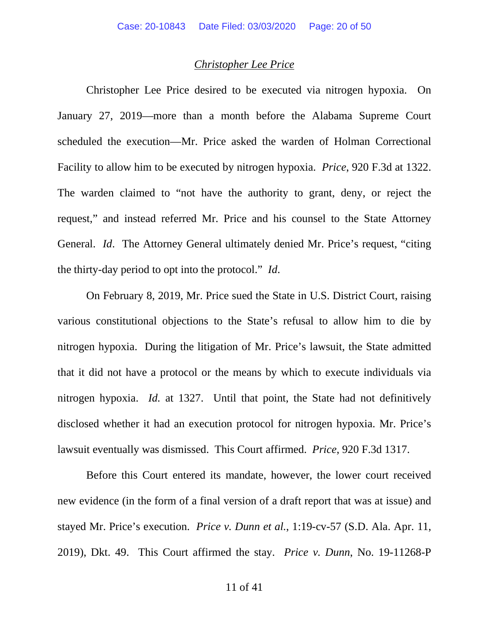### *Christopher Lee Price*

Christopher Lee Price desired to be executed via nitrogen hypoxia. On January 27, 2019—more than a month before the Alabama Supreme Court scheduled the execution—Mr. Price asked the warden of Holman Correctional Facility to allow him to be executed by nitrogen hypoxia. *Price*, 920 F.3d at 1322. The warden claimed to "not have the authority to grant, deny, or reject the request," and instead referred Mr. Price and his counsel to the State Attorney General. *Id*. The Attorney General ultimately denied Mr. Price's request, "citing the thirty-day period to opt into the protocol." *Id*.

On February 8, 2019, Mr. Price sued the State in U.S. District Court, raising various constitutional objections to the State's refusal to allow him to die by nitrogen hypoxia. During the litigation of Mr. Price's lawsuit, the State admitted that it did not have a protocol or the means by which to execute individuals via nitrogen hypoxia. *Id.* at 1327. Until that point, the State had not definitively disclosed whether it had an execution protocol for nitrogen hypoxia. Mr. Price's lawsuit eventually was dismissed. This Court affirmed. *Price*, 920 F.3d 1317.

Before this Court entered its mandate, however, the lower court received new evidence (in the form of a final version of a draft report that was at issue) and stayed Mr. Price's execution. *Price v. Dunn et al.*, 1:19-cv-57 (S.D. Ala. Apr. 11, 2019), Dkt. 49. This Court affirmed the stay. *Price v. Dunn*, No. 19-11268-P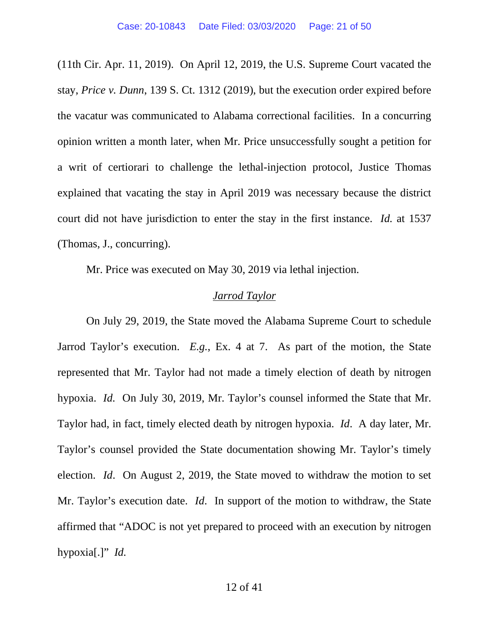(11th Cir. Apr. 11, 2019). On April 12, 2019, the U.S. Supreme Court vacated the stay, *Price v. Dunn*, 139 S. Ct. 1312 (2019), but the execution order expired before the vacatur was communicated to Alabama correctional facilities. In a concurring opinion written a month later, when Mr. Price unsuccessfully sought a petition for a writ of certiorari to challenge the lethal-injection protocol, Justice Thomas explained that vacating the stay in April 2019 was necessary because the district court did not have jurisdiction to enter the stay in the first instance. *Id.* at 1537 (Thomas, J., concurring).

Mr. Price was executed on May 30, 2019 via lethal injection.

### *Jarrod Taylor*

On July 29, 2019, the State moved the Alabama Supreme Court to schedule Jarrod Taylor's execution. *E.g.*, Ex. 4 at 7. As part of the motion, the State represented that Mr. Taylor had not made a timely election of death by nitrogen hypoxia. *Id.* On July 30, 2019, Mr. Taylor's counsel informed the State that Mr. Taylor had, in fact, timely elected death by nitrogen hypoxia. *Id*. A day later, Mr. Taylor's counsel provided the State documentation showing Mr. Taylor's timely election. *Id*. On August 2, 2019, the State moved to withdraw the motion to set Mr. Taylor's execution date. *Id*. In support of the motion to withdraw, the State affirmed that "ADOC is not yet prepared to proceed with an execution by nitrogen hypoxia[.]" *Id.*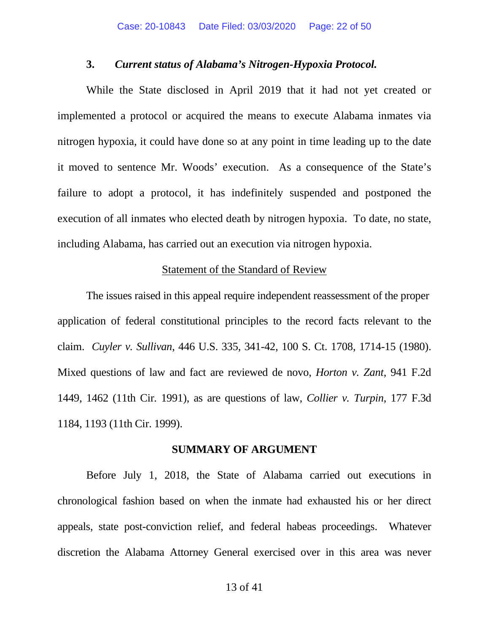#### **3.** *Current status of Alabama's Nitrogen-Hypoxia Protocol.*

While the State disclosed in April 2019 that it had not yet created or implemented a protocol or acquired the means to execute Alabama inmates via nitrogen hypoxia, it could have done so at any point in time leading up to the date it moved to sentence Mr. Woods' execution. As a consequence of the State's failure to adopt a protocol, it has indefinitely suspended and postponed the execution of all inmates who elected death by nitrogen hypoxia. To date, no state, including Alabama, has carried out an execution via nitrogen hypoxia.

#### Statement of the Standard of Review

The issues raised in this appeal require independent reassessment of the proper application of federal constitutional principles to the record facts relevant to the claim. *Cuyler v. Sullivan*, 446 U.S. 335, 341-42, 100 S. Ct. 1708, 1714-15 (1980). Mixed questions of law and fact are reviewed de novo, *Horton v. Zant*, 941 F.2d 1449, 1462 (11th Cir. 1991), as are questions of law, *Collier v. Turpin*, 177 F.3d 1184, 1193 (11th Cir. 1999).

### **SUMMARY OF ARGUMENT**

Before July 1, 2018, the State of Alabama carried out executions in chronological fashion based on when the inmate had exhausted his or her direct appeals, state post-conviction relief, and federal habeas proceedings. Whatever discretion the Alabama Attorney General exercised over in this area was never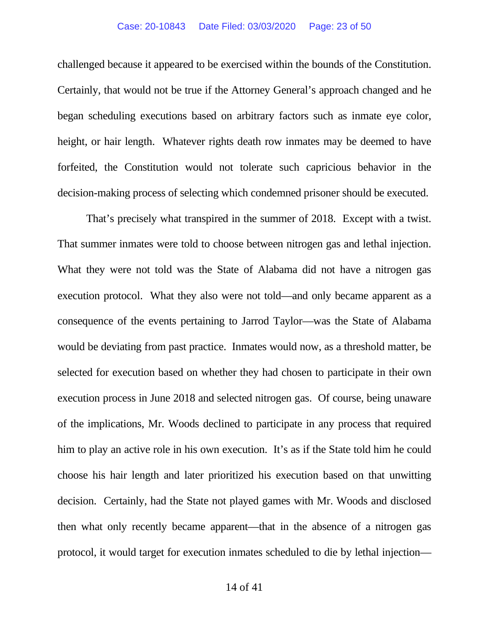challenged because it appeared to be exercised within the bounds of the Constitution. Certainly, that would not be true if the Attorney General's approach changed and he began scheduling executions based on arbitrary factors such as inmate eye color, height, or hair length. Whatever rights death row inmates may be deemed to have forfeited, the Constitution would not tolerate such capricious behavior in the decision-making process of selecting which condemned prisoner should be executed.

That's precisely what transpired in the summer of 2018. Except with a twist. That summer inmates were told to choose between nitrogen gas and lethal injection. What they were not told was the State of Alabama did not have a nitrogen gas execution protocol. What they also were not told—and only became apparent as a consequence of the events pertaining to Jarrod Taylor—was the State of Alabama would be deviating from past practice. Inmates would now, as a threshold matter, be selected for execution based on whether they had chosen to participate in their own execution process in June 2018 and selected nitrogen gas. Of course, being unaware of the implications, Mr. Woods declined to participate in any process that required him to play an active role in his own execution. It's as if the State told him he could choose his hair length and later prioritized his execution based on that unwitting decision. Certainly, had the State not played games with Mr. Woods and disclosed then what only recently became apparent—that in the absence of a nitrogen gas protocol, it would target for execution inmates scheduled to die by lethal injection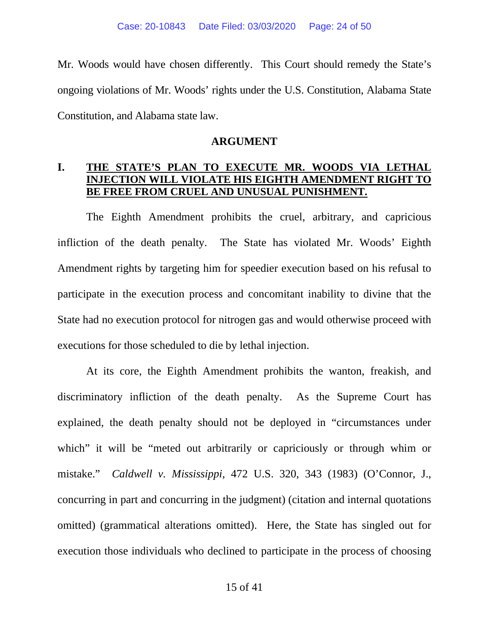Mr. Woods would have chosen differently. This Court should remedy the State's ongoing violations of Mr. Woods' rights under the U.S. Constitution, Alabama State Constitution, and Alabama state law.

### **ARGUMENT**

# **I. THE STATE'S PLAN TO EXECUTE MR. WOODS VIA LETHAL INJECTION WILL VIOLATE HIS EIGHTH AMENDMENT RIGHT TO BE FREE FROM CRUEL AND UNUSUAL PUNISHMENT.**

The Eighth Amendment prohibits the cruel, arbitrary, and capricious infliction of the death penalty. The State has violated Mr. Woods' Eighth Amendment rights by targeting him for speedier execution based on his refusal to participate in the execution process and concomitant inability to divine that the State had no execution protocol for nitrogen gas and would otherwise proceed with executions for those scheduled to die by lethal injection.

At its core, the Eighth Amendment prohibits the wanton, freakish, and discriminatory infliction of the death penalty. As the Supreme Court has explained, the death penalty should not be deployed in "circumstances under which" it will be "meted out arbitrarily or capriciously or through whim or mistake." *Caldwell v. Mississippi*, 472 U.S. 320, 343 (1983) (O'Connor, J., concurring in part and concurring in the judgment) (citation and internal quotations omitted) (grammatical alterations omitted). Here, the State has singled out for execution those individuals who declined to participate in the process of choosing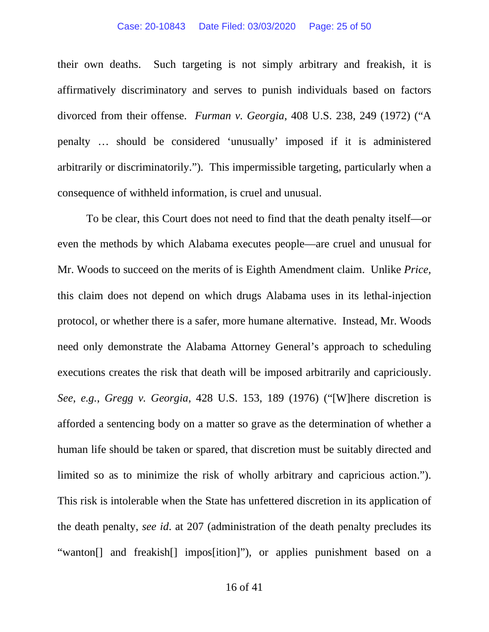#### Case: 20-10843 Date Filed: 03/03/2020 Page: 25 of 50

their own deaths. Such targeting is not simply arbitrary and freakish, it is affirmatively discriminatory and serves to punish individuals based on factors divorced from their offense. *Furman v. Georgia*, 408 U.S. 238, 249 (1972) ("A penalty … should be considered 'unusually' imposed if it is administered arbitrarily or discriminatorily."). This impermissible targeting, particularly when a consequence of withheld information, is cruel and unusual.

To be clear, this Court does not need to find that the death penalty itself—or even the methods by which Alabama executes people—are cruel and unusual for Mr. Woods to succeed on the merits of is Eighth Amendment claim. Unlike *Price,*  this claim does not depend on which drugs Alabama uses in its lethal-injection protocol, or whether there is a safer, more humane alternative. Instead, Mr. Woods need only demonstrate the Alabama Attorney General's approach to scheduling executions creates the risk that death will be imposed arbitrarily and capriciously. *See*, *e.g.*, *Gregg v. Georgia*, 428 U.S. 153, 189 (1976) ("[W]here discretion is afforded a sentencing body on a matter so grave as the determination of whether a human life should be taken or spared, that discretion must be suitably directed and limited so as to minimize the risk of wholly arbitrary and capricious action."). This risk is intolerable when the State has unfettered discretion in its application of the death penalty, *see id*. at 207 (administration of the death penalty precludes its "wanton[] and freakish[] impos[ition]"), or applies punishment based on a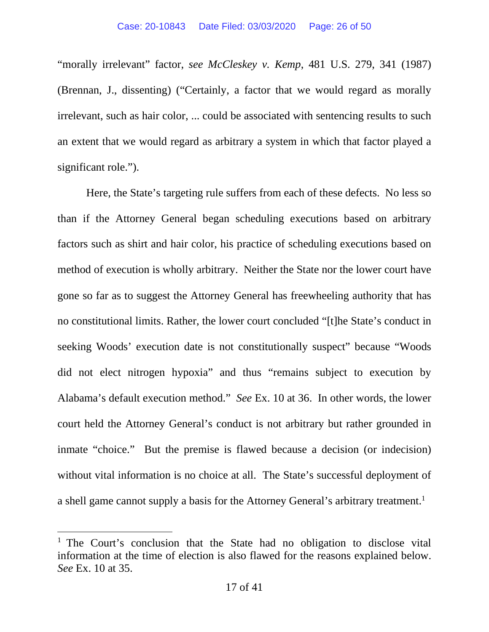"morally irrelevant" factor, *see McCleskey v. Kemp*, 481 U.S. 279, 341 (1987) (Brennan, J., dissenting) ("Certainly, a factor that we would regard as morally irrelevant, such as hair color, ... could be associated with sentencing results to such an extent that we would regard as arbitrary a system in which that factor played a significant role.").

Here, the State's targeting rule suffers from each of these defects. No less so than if the Attorney General began scheduling executions based on arbitrary factors such as shirt and hair color, his practice of scheduling executions based on method of execution is wholly arbitrary. Neither the State nor the lower court have gone so far as to suggest the Attorney General has freewheeling authority that has no constitutional limits. Rather, the lower court concluded "[t]he State's conduct in seeking Woods' execution date is not constitutionally suspect" because "Woods did not elect nitrogen hypoxia" and thus "remains subject to execution by Alabama's default execution method." *See* Ex. 10 at 36. In other words, the lower court held the Attorney General's conduct is not arbitrary but rather grounded in inmate "choice." But the premise is flawed because a decision (or indecision) without vital information is no choice at all. The State's successful deployment of a shell game cannot supply a basis for the Attorney General's arbitrary treatment.<sup>[1](#page-25-0)</sup>

<span id="page-25-0"></span><sup>&</sup>lt;sup>1</sup> The Court's conclusion that the State had no obligation to disclose vital information at the time of election is also flawed for the reasons explained below. *See* Ex. 10 at 35.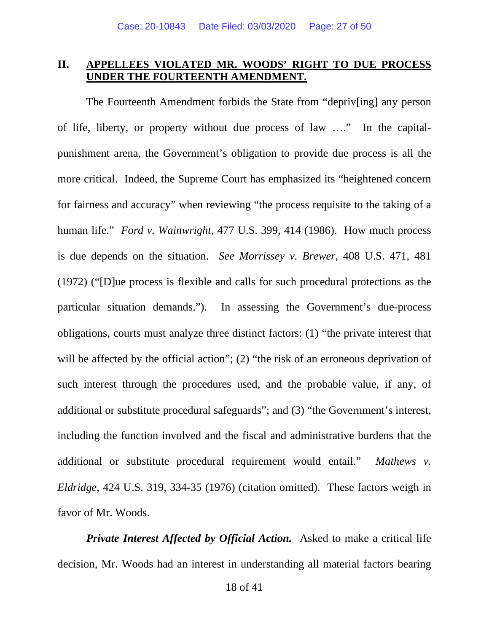# **II. APPELLEES VIOLATED MR. WOODS' RIGHT TO DUE PROCESS UNDER THE FOURTEENTH AMENDMENT.**

The Fourteenth Amendment forbids the State from "depriv[ing] any person of life, liberty, or property without due process of law …." In the capitalpunishment arena, the Government's obligation to provide due process is all the more critical. Indeed, the Supreme Court has emphasized its "heightened concern for fairness and accuracy" when reviewing "the process requisite to the taking of a human life." *Ford v. Wainwright*, 477 U.S. 399, 414 (1986). How much process is due depends on the situation. *See Morrissey v. Brewer*, 408 U.S. 471, 481 (1972) ("[D]ue process is flexible and calls for such procedural protections as the particular situation demands."). In assessing the Government's due-process obligations, courts must analyze three distinct factors: (1) "the private interest that will be affected by the official action"; (2) "the risk of an erroneous deprivation of such interest through the procedures used, and the probable value, if any, of additional or substitute procedural safeguards"; and (3) "the Government's interest, including the function involved and the fiscal and administrative burdens that the additional or substitute procedural requirement would entail." *Mathews v. Eldridge*, 424 U.S. 319, 334-35 (1976) (citation omitted). These factors weigh in favor of Mr. Woods.

*Private Interest Affected by Official Action.* Asked to make a critical life decision, Mr. Woods had an interest in understanding all material factors bearing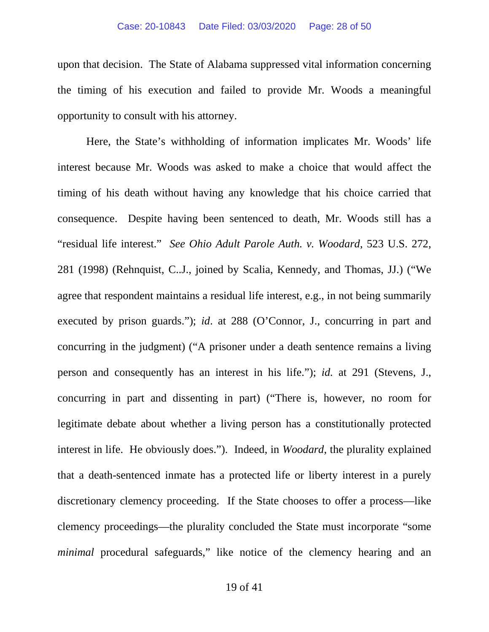upon that decision. The State of Alabama suppressed vital information concerning the timing of his execution and failed to provide Mr. Woods a meaningful opportunity to consult with his attorney.

Here, the State's withholding of information implicates Mr. Woods' life interest because Mr. Woods was asked to make a choice that would affect the timing of his death without having any knowledge that his choice carried that consequence. Despite having been sentenced to death, Mr. Woods still has a "residual life interest." *See Ohio Adult Parole Auth. v. Woodard*, 523 U.S. 272, 281 (1998) (Rehnquist, C..J., joined by Scalia, Kennedy, and Thomas, JJ.) ("We agree that respondent maintains a residual life interest, e.g., in not being summarily executed by prison guards."); *id*. at 288 (O'Connor, J., concurring in part and concurring in the judgment) ("A prisoner under a death sentence remains a living person and consequently has an interest in his life."); *id.* at 291 (Stevens, J., concurring in part and dissenting in part) ("There is, however, no room for legitimate debate about whether a living person has a constitutionally protected interest in life. He obviously does."). Indeed, in *Woodard*, the plurality explained that a death-sentenced inmate has a protected life or liberty interest in a purely discretionary clemency proceeding. If the State chooses to offer a process—like clemency proceedings—the plurality concluded the State must incorporate "some *minimal* procedural safeguards," like notice of the clemency hearing and an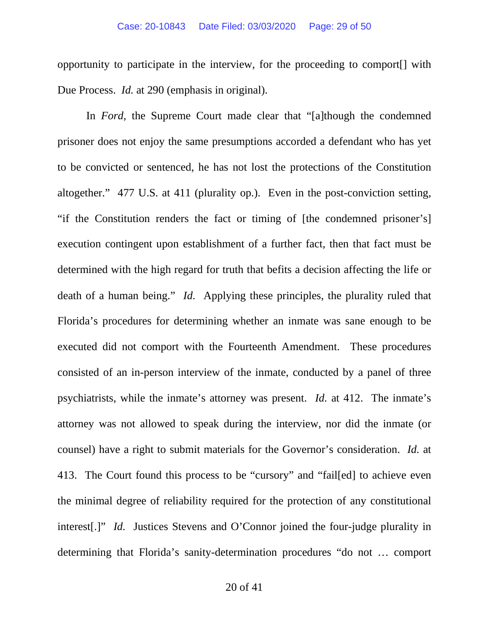opportunity to participate in the interview, for the proceeding to comport[] with Due Process. *Id.* at 290 (emphasis in original).

In *Ford*, the Supreme Court made clear that "[a]though the condemned prisoner does not enjoy the same presumptions accorded a defendant who has yet to be convicted or sentenced, he has not lost the protections of the Constitution altogether." 477 U.S. at 411 (plurality op.). Even in the post-conviction setting, "if the Constitution renders the fact or timing of [the condemned prisoner's] execution contingent upon establishment of a further fact, then that fact must be determined with the high regard for truth that befits a decision affecting the life or death of a human being." *Id.* Applying these principles, the plurality ruled that Florida's procedures for determining whether an inmate was sane enough to be executed did not comport with the Fourteenth Amendment. These procedures consisted of an in-person interview of the inmate, conducted by a panel of three psychiatrists, while the inmate's attorney was present. *Id.* at 412. The inmate's attorney was not allowed to speak during the interview, nor did the inmate (or counsel) have a right to submit materials for the Governor's consideration. *Id.* at 413. The Court found this process to be "cursory" and "fail[ed] to achieve even the minimal degree of reliability required for the protection of any constitutional interest[.]" *Id.* Justices Stevens and O'Connor joined the four-judge plurality in determining that Florida's sanity-determination procedures "do not … comport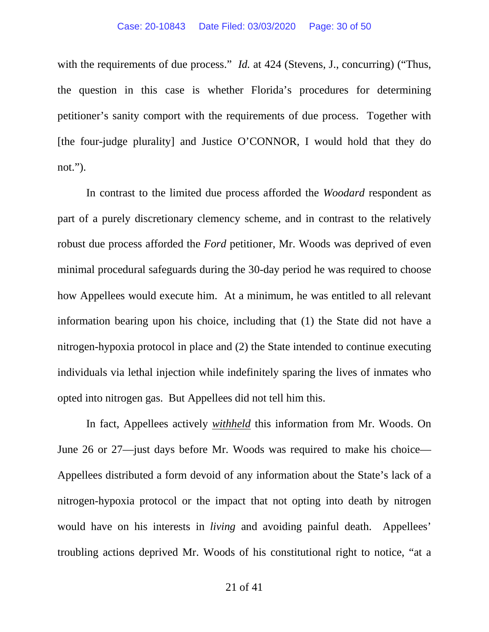with the requirements of due process." *Id.* at 424 (Stevens, J., concurring) ("Thus, the question in this case is whether Florida's procedures for determining petitioner's sanity comport with the requirements of due process. Together with [the four-judge plurality] and Justice O'CONNOR, I would hold that they do not.").

In contrast to the limited due process afforded the *Woodard* respondent as part of a purely discretionary clemency scheme, and in contrast to the relatively robust due process afforded the *Ford* petitioner, Mr. Woods was deprived of even minimal procedural safeguards during the 30-day period he was required to choose how Appellees would execute him. At a minimum, he was entitled to all relevant information bearing upon his choice, including that (1) the State did not have a nitrogen-hypoxia protocol in place and (2) the State intended to continue executing individuals via lethal injection while indefinitely sparing the lives of inmates who opted into nitrogen gas. But Appellees did not tell him this.

In fact, Appellees actively *withheld* this information from Mr. Woods. On June 26 or 27—just days before Mr. Woods was required to make his choice— Appellees distributed a form devoid of any information about the State's lack of a nitrogen-hypoxia protocol or the impact that not opting into death by nitrogen would have on his interests in *living* and avoiding painful death. Appellees' troubling actions deprived Mr. Woods of his constitutional right to notice, "at a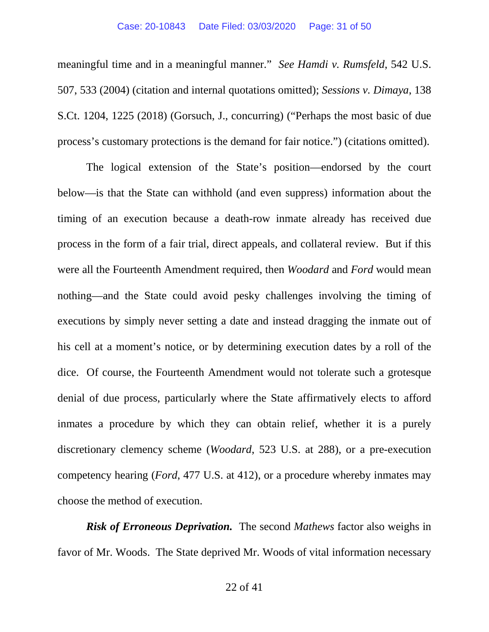meaningful time and in a meaningful manner." *See Hamdi v. Rumsfeld*, 542 U.S. 507, 533 (2004) (citation and internal quotations omitted); *Sessions v. Dimaya*, 138 S.Ct. 1204, 1225 (2018) (Gorsuch, J., concurring) ("Perhaps the most basic of due process's customary protections is the demand for fair notice.") (citations omitted).

The logical extension of the State's position—endorsed by the court below—is that the State can withhold (and even suppress) information about the timing of an execution because a death-row inmate already has received due process in the form of a fair trial, direct appeals, and collateral review. But if this were all the Fourteenth Amendment required, then *Woodard* and *Ford* would mean nothing—and the State could avoid pesky challenges involving the timing of executions by simply never setting a date and instead dragging the inmate out of his cell at a moment's notice, or by determining execution dates by a roll of the dice. Of course, the Fourteenth Amendment would not tolerate such a grotesque denial of due process, particularly where the State affirmatively elects to afford inmates a procedure by which they can obtain relief, whether it is a purely discretionary clemency scheme (*Woodard*, 523 U.S. at 288), or a pre-execution competency hearing (*Ford*, 477 U.S. at 412), or a procedure whereby inmates may choose the method of execution.

*Risk of Erroneous Deprivation.* The second *Mathews* factor also weighs in favor of Mr. Woods. The State deprived Mr. Woods of vital information necessary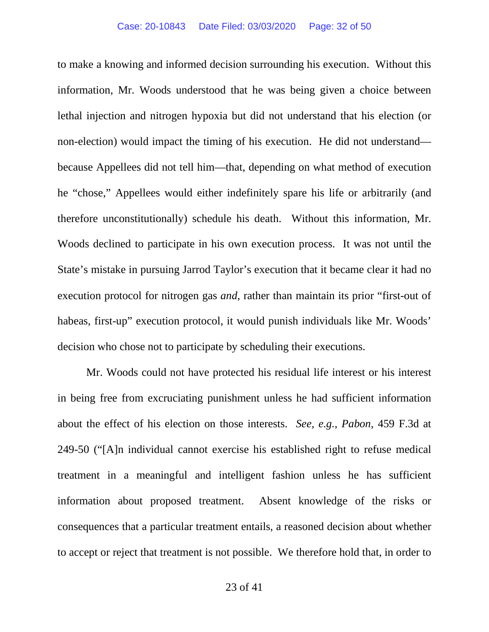to make a knowing and informed decision surrounding his execution. Without this information, Mr. Woods understood that he was being given a choice between lethal injection and nitrogen hypoxia but did not understand that his election (or non-election) would impact the timing of his execution. He did not understand because Appellees did not tell him—that, depending on what method of execution he "chose," Appellees would either indefinitely spare his life or arbitrarily (and therefore unconstitutionally) schedule his death. Without this information, Mr. Woods declined to participate in his own execution process. It was not until the State's mistake in pursuing Jarrod Taylor's execution that it became clear it had no execution protocol for nitrogen gas *and*, rather than maintain its prior "first-out of habeas, first-up" execution protocol, it would punish individuals like Mr. Woods' decision who chose not to participate by scheduling their executions.

Mr. Woods could not have protected his residual life interest or his interest in being free from excruciating punishment unless he had sufficient information about the effect of his election on those interests. *See, e.g., Pabon*, 459 F.3d at 249-50 ("[A]n individual cannot exercise his established right to refuse medical treatment in a meaningful and intelligent fashion unless he has sufficient information about proposed treatment. Absent knowledge of the risks or consequences that a particular treatment entails, a reasoned decision about whether to accept or reject that treatment is not possible. We therefore hold that, in order to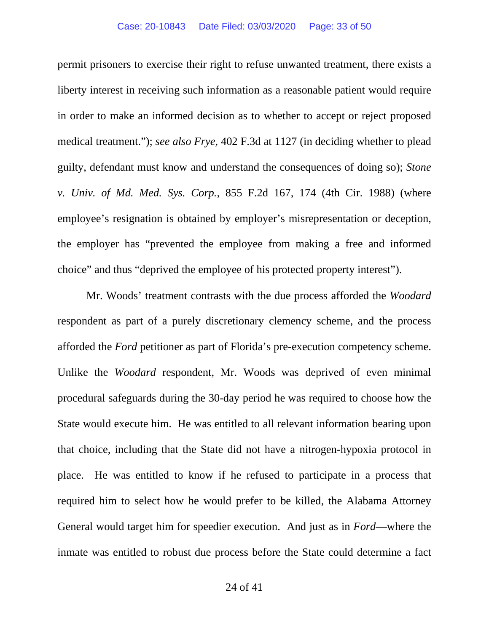permit prisoners to exercise their right to refuse unwanted treatment, there exists a liberty interest in receiving such information as a reasonable patient would require in order to make an informed decision as to whether to accept or reject proposed medical treatment."); *see also Frye*, 402 F.3d at 1127 (in deciding whether to plead guilty, defendant must know and understand the consequences of doing so); *Stone v. Univ. of Md. Med. Sys. Corp.*, 855 F.2d 167, 174 (4th Cir. 1988) (where employee's resignation is obtained by employer's misrepresentation or deception, the employer has "prevented the employee from making a free and informed choice" and thus "deprived the employee of his protected property interest").

Mr. Woods' treatment contrasts with the due process afforded the *Woodard* respondent as part of a purely discretionary clemency scheme, and the process afforded the *Ford* petitioner as part of Florida's pre-execution competency scheme. Unlike the *Woodard* respondent, Mr. Woods was deprived of even minimal procedural safeguards during the 30-day period he was required to choose how the State would execute him. He was entitled to all relevant information bearing upon that choice, including that the State did not have a nitrogen-hypoxia protocol in place. He was entitled to know if he refused to participate in a process that required him to select how he would prefer to be killed, the Alabama Attorney General would target him for speedier execution. And just as in *Ford*—where the inmate was entitled to robust due process before the State could determine a fact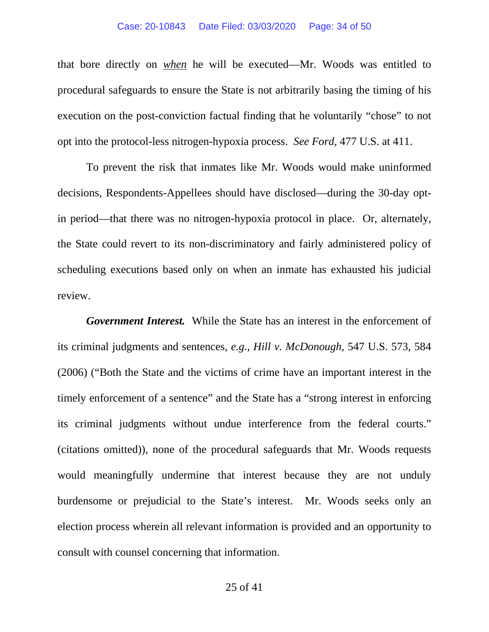#### Case: 20-10843 Date Filed: 03/03/2020 Page: 34 of 50

that bore directly on *when* he will be executed—Mr. Woods was entitled to procedural safeguards to ensure the State is not arbitrarily basing the timing of his execution on the post-conviction factual finding that he voluntarily "chose" to not opt into the protocol-less nitrogen-hypoxia process. *See Ford*, 477 U.S. at 411.

To prevent the risk that inmates like Mr. Woods would make uninformed decisions, Respondents-Appellees should have disclosed—during the 30-day optin period—that there was no nitrogen-hypoxia protocol in place. Or, alternately, the State could revert to its non-discriminatory and fairly administered policy of scheduling executions based only on when an inmate has exhausted his judicial review.

*Government Interest.* While the State has an interest in the enforcement of its criminal judgments and sentences, *e.g.*, *Hill v. McDonough*, 547 U.S. 573, 584 (2006) ("Both the State and the victims of crime have an important interest in the timely enforcement of a sentence" and the State has a "strong interest in enforcing its criminal judgments without undue interference from the federal courts." (citations omitted)), none of the procedural safeguards that Mr. Woods requests would meaningfully undermine that interest because they are not unduly burdensome or prejudicial to the State's interest. Mr. Woods seeks only an election process wherein all relevant information is provided and an opportunity to consult with counsel concerning that information.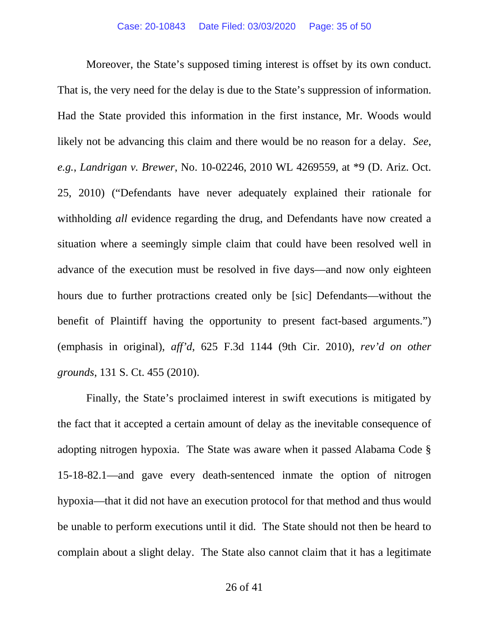Moreover, the State's supposed timing interest is offset by its own conduct. That is, the very need for the delay is due to the State's suppression of information. Had the State provided this information in the first instance, Mr. Woods would likely not be advancing this claim and there would be no reason for a delay. *See*, *e.g.*, *Landrigan v. Brewer*, No. 10-02246, 2010 WL 4269559, at \*9 (D. Ariz. Oct. 25, 2010) ("Defendants have never adequately explained their rationale for withholding *all* evidence regarding the drug, and Defendants have now created a situation where a seemingly simple claim that could have been resolved well in advance of the execution must be resolved in five days—and now only eighteen hours due to further protractions created only be [sic] Defendants—without the benefit of Plaintiff having the opportunity to present fact-based arguments.") (emphasis in original), *aff'd*, 625 F.3d 1144 (9th Cir. 2010), *rev'd on other grounds*, 131 S. Ct. 455 (2010).

Finally, the State's proclaimed interest in swift executions is mitigated by the fact that it accepted a certain amount of delay as the inevitable consequence of adopting nitrogen hypoxia. The State was aware when it passed Alabama Code § 15-18-82.1—and gave every death-sentenced inmate the option of nitrogen hypoxia—that it did not have an execution protocol for that method and thus would be unable to perform executions until it did. The State should not then be heard to complain about a slight delay. The State also cannot claim that it has a legitimate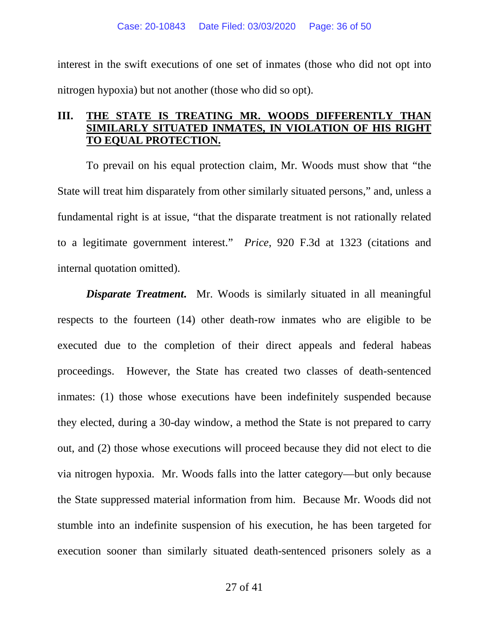interest in the swift executions of one set of inmates (those who did not opt into nitrogen hypoxia) but not another (those who did so opt).

# **III. THE STATE IS TREATING MR. WOODS DIFFERENTLY THAN Y SITUATED INMATES, IN VIOLATION OF HIS RIGHT TO EQUAL PROTECTION.**

To prevail on his equal protection claim, Mr. Woods must show that "the State will treat him disparately from other similarly situated persons," and, unless a fundamental right is at issue, "that the disparate treatment is not rationally related to a legitimate government interest." *Price*, 920 F.3d at 1323 (citations and internal quotation omitted).

**Disparate Treatment.** Mr. Woods is similarly situated in all meaningful respects to the fourteen (14) other death-row inmates who are eligible to be executed due to the completion of their direct appeals and federal habeas proceedings. However, the State has created two classes of death-sentenced inmates: (1) those whose executions have been indefinitely suspended because they elected, during a 30-day window, a method the State is not prepared to carry out, and (2) those whose executions will proceed because they did not elect to die via nitrogen hypoxia. Mr. Woods falls into the latter category—but only because the State suppressed material information from him. Because Mr. Woods did not stumble into an indefinite suspension of his execution, he has been targeted for execution sooner than similarly situated death-sentenced prisoners solely as a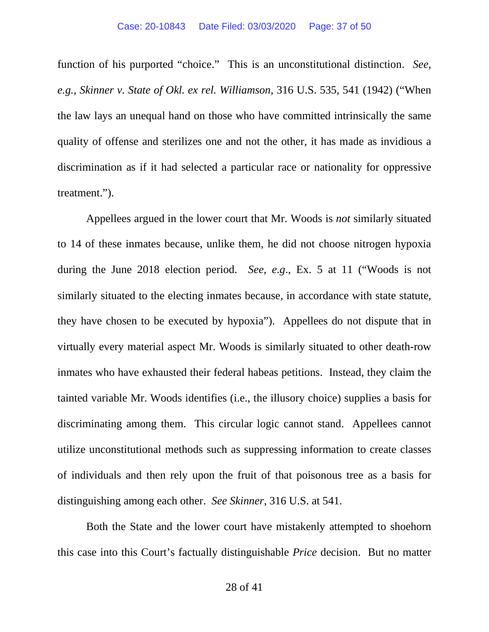function of his purported "choice." This is an unconstitutional distinction. *See*, *e.g., Skinner v. State of Okl. ex rel. Williamson*, 316 U.S. 535, 541 (1942) ("When the law lays an unequal hand on those who have committed intrinsically the same quality of offense and sterilizes one and not the other, it has made as invidious a discrimination as if it had selected a particular race or nationality for oppressive treatment.").

Appellees argued in the lower court that Mr. Woods is *not* similarly situated to 14 of these inmates because, unlike them, he did not choose nitrogen hypoxia during the June 2018 election period. *See*, *e.g*., Ex. 5 at 11 ("Woods is not similarly situated to the electing inmates because, in accordance with state statute, they have chosen to be executed by hypoxia"). Appellees do not dispute that in virtually every material aspect Mr. Woods is similarly situated to other death-row inmates who have exhausted their federal habeas petitions. Instead, they claim the tainted variable Mr. Woods identifies (i.e., the illusory choice) supplies a basis for discriminating among them. This circular logic cannot stand. Appellees cannot utilize unconstitutional methods such as suppressing information to create classes of individuals and then rely upon the fruit of that poisonous tree as a basis for distinguishing among each other. *See Skinner*, 316 U.S. at 541.

Both the State and the lower court have mistakenly attempted to shoehorn this case into this Court's factually distinguishable *Price* decision. But no matter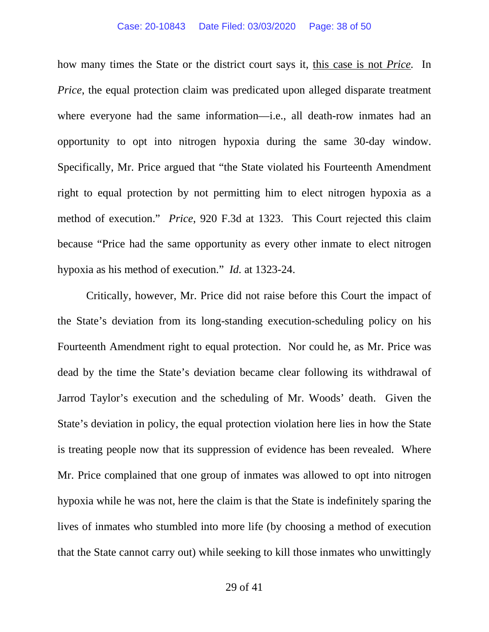how many times the State or the district court says it, this case is not *Price.* In *Price*, the equal protection claim was predicated upon alleged disparate treatment where everyone had the same information—i.e., all death-row inmates had an opportunity to opt into nitrogen hypoxia during the same 30-day window. Specifically, Mr. Price argued that "the State violated his Fourteenth Amendment right to equal protection by not permitting him to elect nitrogen hypoxia as a method of execution." *Price*, 920 F.3d at 1323. This Court rejected this claim because "Price had the same opportunity as every other inmate to elect nitrogen hypoxia as his method of execution." *Id.* at 1323-24.

Critically, however, Mr. Price did not raise before this Court the impact of the State's deviation from its long-standing execution-scheduling policy on his Fourteenth Amendment right to equal protection. Nor could he, as Mr. Price was dead by the time the State's deviation became clear following its withdrawal of Jarrod Taylor's execution and the scheduling of Mr. Woods' death. Given the State's deviation in policy, the equal protection violation here lies in how the State is treating people now that its suppression of evidence has been revealed. Where Mr. Price complained that one group of inmates was allowed to opt into nitrogen hypoxia while he was not, here the claim is that the State is indefinitely sparing the lives of inmates who stumbled into more life (by choosing a method of execution that the State cannot carry out) while seeking to kill those inmates who unwittingly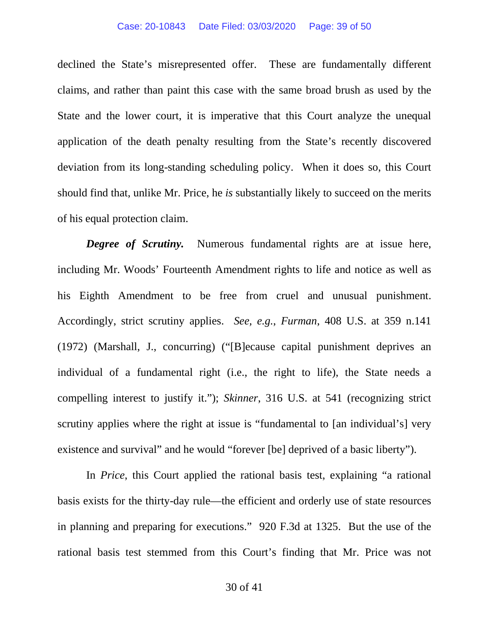#### Case: 20-10843 Date Filed: 03/03/2020 Page: 39 of 50

declined the State's misrepresented offer. These are fundamentally different claims, and rather than paint this case with the same broad brush as used by the State and the lower court, it is imperative that this Court analyze the unequal application of the death penalty resulting from the State's recently discovered deviation from its long-standing scheduling policy. When it does so, this Court should find that, unlike Mr. Price, he *is* substantially likely to succeed on the merits of his equal protection claim.

*Degree of Scrutiny*. Numerous fundamental rights are at issue here, including Mr. Woods' Fourteenth Amendment rights to life and notice as well as his Eighth Amendment to be free from cruel and unusual punishment. Accordingly, strict scrutiny applies. *See, e.g.*, *Furman*, 408 U.S. at 359 n.141 (1972) (Marshall, J., concurring) ("[B]ecause capital punishment deprives an individual of a fundamental right (i.e., the right to life), the State needs a compelling interest to justify it."); *Skinner*, 316 U.S. at 541 (recognizing strict scrutiny applies where the right at issue is "fundamental to [an individual's] very existence and survival" and he would "forever [be] deprived of a basic liberty").

In *Price*, this Court applied the rational basis test, explaining "a rational basis exists for the thirty-day rule—the efficient and orderly use of state resources in planning and preparing for executions." 920 F.3d at 1325. But the use of the rational basis test stemmed from this Court's finding that Mr. Price was not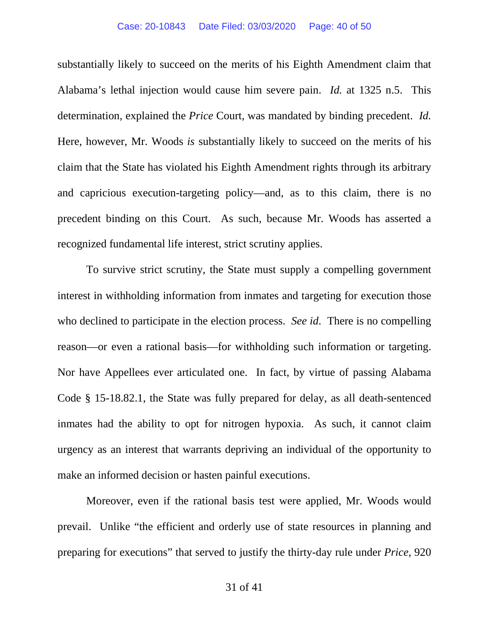substantially likely to succeed on the merits of his Eighth Amendment claim that Alabama's lethal injection would cause him severe pain. *Id.* at 1325 n.5. This determination, explained the *Price* Court, was mandated by binding precedent. *Id.* Here, however, Mr. Woods *is* substantially likely to succeed on the merits of his claim that the State has violated his Eighth Amendment rights through its arbitrary and capricious execution-targeting policy—and, as to this claim, there is no precedent binding on this Court. As such, because Mr. Woods has asserted a recognized fundamental life interest, strict scrutiny applies.

To survive strict scrutiny, the State must supply a compelling government interest in withholding information from inmates and targeting for execution those who declined to participate in the election process. *See id*. There is no compelling reason—or even a rational basis—for withholding such information or targeting. Nor have Appellees ever articulated one. In fact, by virtue of passing Alabama Code § 15-18.82.1, the State was fully prepared for delay, as all death-sentenced inmates had the ability to opt for nitrogen hypoxia. As such, it cannot claim urgency as an interest that warrants depriving an individual of the opportunity to make an informed decision or hasten painful executions.

Moreover, even if the rational basis test were applied, Mr. Woods would prevail. Unlike "the efficient and orderly use of state resources in planning and preparing for executions" that served to justify the thirty-day rule under *Price*, 920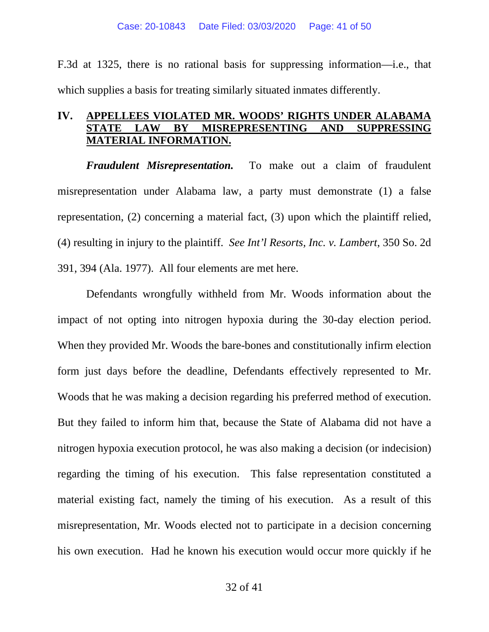F.3d at 1325, there is no rational basis for suppressing information—i.e., that which supplies a basis for treating similarly situated inmates differently.

## **IV. APPELLEES VIOLATED MR. WOODS' RIGHTS UNDER ALABAMA STATE LAW BY MISREPRESENTING AND SUPPRESSING MATERIAL INFORMATION.**

*Fraudulent Misrepresentation.* To make out a claim of fraudulent misrepresentation under Alabama law, a party must demonstrate (1) a false representation, (2) concerning a material fact, (3) upon which the plaintiff relied, (4) resulting in injury to the plaintiff. *See Int'l Resorts, Inc. v. Lambert*, 350 So. 2d 391, 394 (Ala. 1977). All four elements are met here.

Defendants wrongfully withheld from Mr. Woods information about the impact of not opting into nitrogen hypoxia during the 30-day election period. When they provided Mr. Woods the bare-bones and constitutionally infirm election form just days before the deadline, Defendants effectively represented to Mr. Woods that he was making a decision regarding his preferred method of execution. But they failed to inform him that, because the State of Alabama did not have a nitrogen hypoxia execution protocol, he was also making a decision (or indecision) regarding the timing of his execution. This false representation constituted a material existing fact, namely the timing of his execution. As a result of this misrepresentation, Mr. Woods elected not to participate in a decision concerning his own execution. Had he known his execution would occur more quickly if he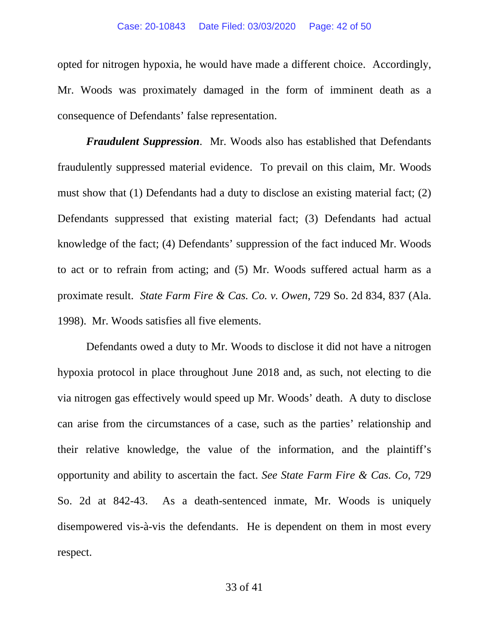opted for nitrogen hypoxia, he would have made a different choice. Accordingly, Mr. Woods was proximately damaged in the form of imminent death as a consequence of Defendants' false representation.

*Fraudulent Suppression*. Mr. Woods also has established that Defendants fraudulently suppressed material evidence. To prevail on this claim, Mr. Woods must show that (1) Defendants had a duty to disclose an existing material fact; (2) Defendants suppressed that existing material fact; (3) Defendants had actual knowledge of the fact; (4) Defendants' suppression of the fact induced Mr. Woods to act or to refrain from acting; and (5) Mr. Woods suffered actual harm as a proximate result. *State Farm Fire & Cas. Co. v. Owen*, 729 So. 2d 834, 837 (Ala. 1998). Mr. Woods satisfies all five elements.

Defendants owed a duty to Mr. Woods to disclose it did not have a nitrogen hypoxia protocol in place throughout June 2018 and, as such, not electing to die via nitrogen gas effectively would speed up Mr. Woods' death. A duty to disclose can arise from the circumstances of a case, such as the parties' relationship and their relative knowledge, the value of the information, and the plaintiff's opportunity and ability to ascertain the fact. *See State Farm Fire & Cas. Co*, 729 So. 2d at 842-43. As a death-sentenced inmate, Mr. Woods is uniquely disempowered vis-à-vis the defendants. He is dependent on them in most every respect.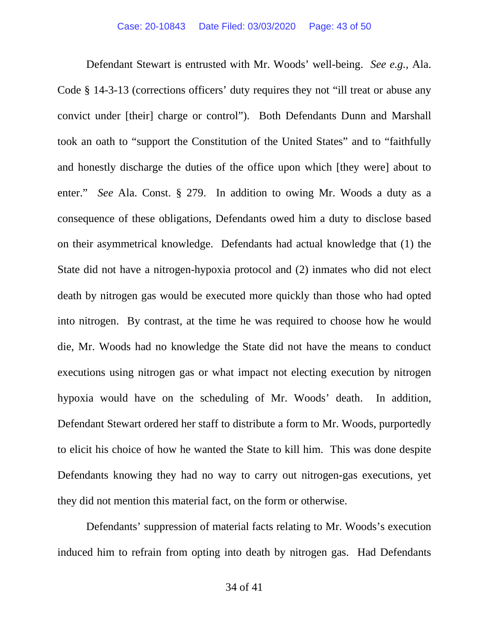Defendant Stewart is entrusted with Mr. Woods' well-being. *See e.g.,* Ala. Code § 14-3-13 (corrections officers' duty requires they not "ill treat or abuse any convict under [their] charge or control"). Both Defendants Dunn and Marshall took an oath to "support the Constitution of the United States" and to "faithfully and honestly discharge the duties of the office upon which [they were] about to enter." *See* Ala. Const. § 279. In addition to owing Mr. Woods a duty as a consequence of these obligations, Defendants owed him a duty to disclose based on their asymmetrical knowledge. Defendants had actual knowledge that (1) the State did not have a nitrogen-hypoxia protocol and (2) inmates who did not elect death by nitrogen gas would be executed more quickly than those who had opted into nitrogen. By contrast, at the time he was required to choose how he would die, Mr. Woods had no knowledge the State did not have the means to conduct executions using nitrogen gas or what impact not electing execution by nitrogen hypoxia would have on the scheduling of Mr. Woods' death. In addition, Defendant Stewart ordered her staff to distribute a form to Mr. Woods, purportedly to elicit his choice of how he wanted the State to kill him. This was done despite Defendants knowing they had no way to carry out nitrogen-gas executions, yet they did not mention this material fact, on the form or otherwise.

Defendants' suppression of material facts relating to Mr. Woods's execution induced him to refrain from opting into death by nitrogen gas. Had Defendants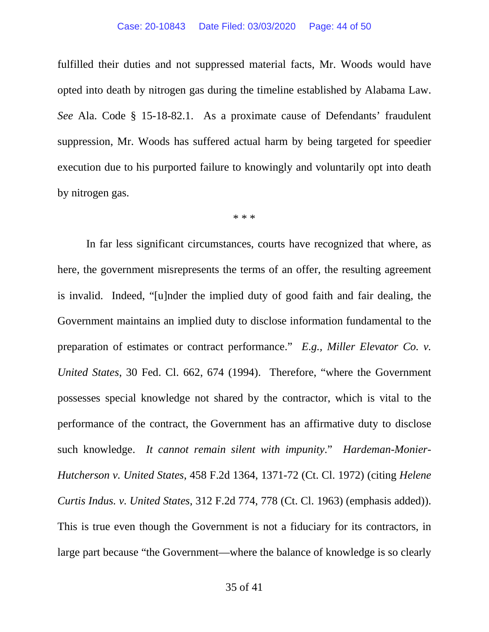fulfilled their duties and not suppressed material facts, Mr. Woods would have opted into death by nitrogen gas during the timeline established by Alabama Law. *See* Ala. Code § 15-18-82.1. As a proximate cause of Defendants' fraudulent suppression, Mr. Woods has suffered actual harm by being targeted for speedier execution due to his purported failure to knowingly and voluntarily opt into death by nitrogen gas.

\* \* \*

In far less significant circumstances, courts have recognized that where, as here, the government misrepresents the terms of an offer, the resulting agreement is invalid. Indeed, "[u]nder the implied duty of good faith and fair dealing, the Government maintains an implied duty to disclose information fundamental to the preparation of estimates or contract performance." *E.g., Miller Elevator Co. v. United States*, 30 Fed. Cl. 662, 674 (1994). Therefore, "where the Government possesses special knowledge not shared by the contractor, which is vital to the performance of the contract, the Government has an affirmative duty to disclose such knowledge. *It cannot remain silent with impunity*." *Hardeman-Monier-Hutcherson v. United States*, 458 F.2d 1364, 1371-72 (Ct. Cl. 1972) (citing *Helene Curtis Indus. v. United States*, 312 F.2d 774, 778 (Ct. Cl. 1963) (emphasis added)). This is true even though the Government is not a fiduciary for its contractors, in large part because "the Government—where the balance of knowledge is so clearly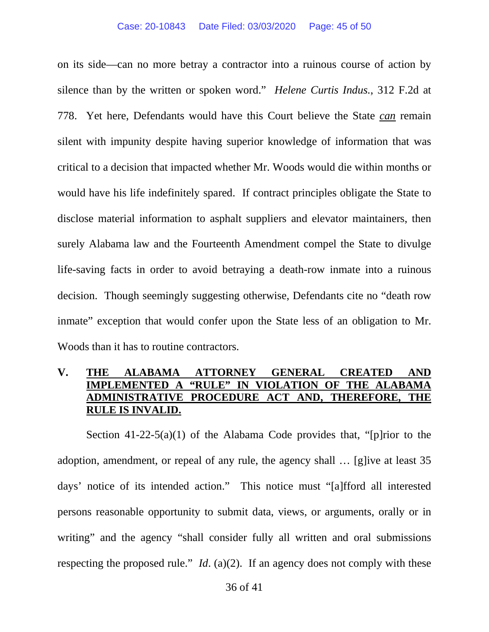on its side—can no more betray a contractor into a ruinous course of action by silence than by the written or spoken word." *Helene Curtis Indus.*, 312 F.2d at 778. Yet here, Defendants would have this Court believe the State *can* remain silent with impunity despite having superior knowledge of information that was critical to a decision that impacted whether Mr. Woods would die within months or would have his life indefinitely spared. If contract principles obligate the State to disclose material information to asphalt suppliers and elevator maintainers, then surely Alabama law and the Fourteenth Amendment compel the State to divulge life-saving facts in order to avoid betraying a death-row inmate into a ruinous decision. Though seemingly suggesting otherwise, Defendants cite no "death row inmate" exception that would confer upon the State less of an obligation to Mr. Woods than it has to routine contractors.

# **V. THE ALABAMA ATTORNEY GENERAL CREATED IMPLEMENTED A "RULE" IN VIOLATION OF THE ALABAMA ADMINISTRATIVE PROCEDURE ACT AND, THEREFORE, THE RULE IS INVALID.**

Section  $41-22-5(a)(1)$  of the Alabama Code provides that, "[p]rior to the adoption, amendment, or repeal of any rule, the agency shall … [g]ive at least 35 days' notice of its intended action." This notice must "[a]fford all interested persons reasonable opportunity to submit data, views, or arguments, orally or in writing" and the agency "shall consider fully all written and oral submissions respecting the proposed rule." *Id*. (a)(2). If an agency does not comply with these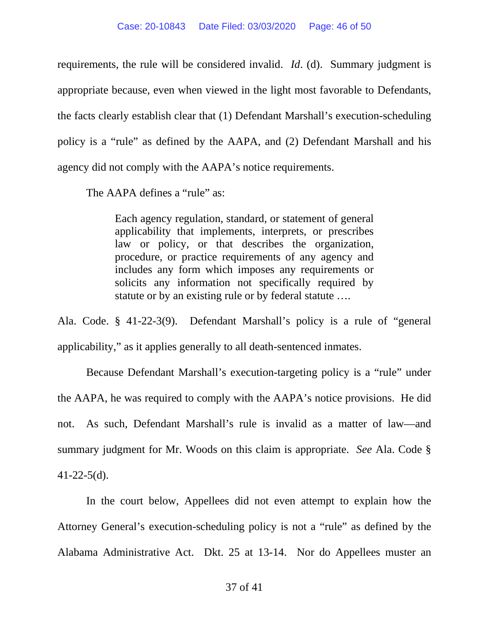requirements, the rule will be considered invalid. *Id*. (d). Summary judgment is appropriate because, even when viewed in the light most favorable to Defendants, the facts clearly establish clear that (1) Defendant Marshall's execution-scheduling policy is a "rule" as defined by the AAPA, and (2) Defendant Marshall and his agency did not comply with the AAPA's notice requirements.

The AAPA defines a "rule" as:

Each agency regulation, standard, or statement of general applicability that implements, interprets, or prescribes law or policy, or that describes the organization, procedure, or practice requirements of any agency and includes any form which imposes any requirements or solicits any information not specifically required by statute or by an existing rule or by federal statute ….

Ala. Code. § 41-22-3(9). Defendant Marshall's policy is a rule of "general applicability," as it applies generally to all death-sentenced inmates.

Because Defendant Marshall's execution-targeting policy is a "rule" under the AAPA, he was required to comply with the AAPA's notice provisions. He did not. As such, Defendant Marshall's rule is invalid as a matter of law—and summary judgment for Mr. Woods on this claim is appropriate. *See* Ala. Code §  $41-22-5(d)$ .

In the court below, Appellees did not even attempt to explain how the Attorney General's execution-scheduling policy is not a "rule" as defined by the Alabama Administrative Act. Dkt. 25 at 13-14. Nor do Appellees muster an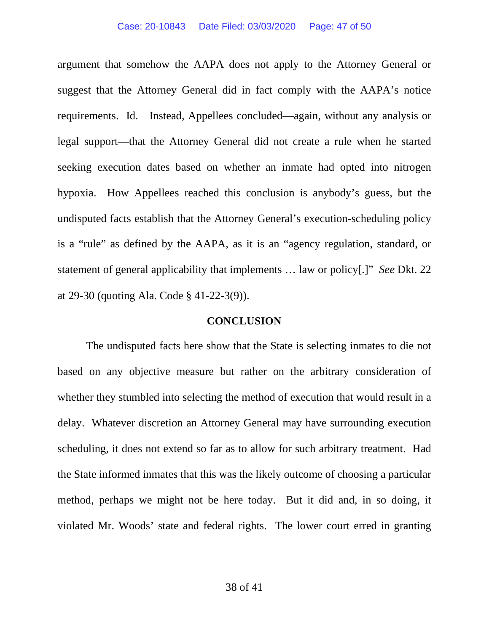argument that somehow the AAPA does not apply to the Attorney General or suggest that the Attorney General did in fact comply with the AAPA's notice requirements. Id. Instead, Appellees concluded—again, without any analysis or legal support—that the Attorney General did not create a rule when he started seeking execution dates based on whether an inmate had opted into nitrogen hypoxia. How Appellees reached this conclusion is anybody's guess, but the undisputed facts establish that the Attorney General's execution-scheduling policy is a "rule" as defined by the AAPA, as it is an "agency regulation, standard, or statement of general applicability that implements … law or policy[.]" *See* Dkt. 22 at 29-30 (quoting Ala. Code § 41-22-3(9)).

### **CONCLUSION**

The undisputed facts here show that the State is selecting inmates to die not based on any objective measure but rather on the arbitrary consideration of whether they stumbled into selecting the method of execution that would result in a delay. Whatever discretion an Attorney General may have surrounding execution scheduling, it does not extend so far as to allow for such arbitrary treatment. Had the State informed inmates that this was the likely outcome of choosing a particular method, perhaps we might not be here today. But it did and, in so doing, it violated Mr. Woods' state and federal rights. The lower court erred in granting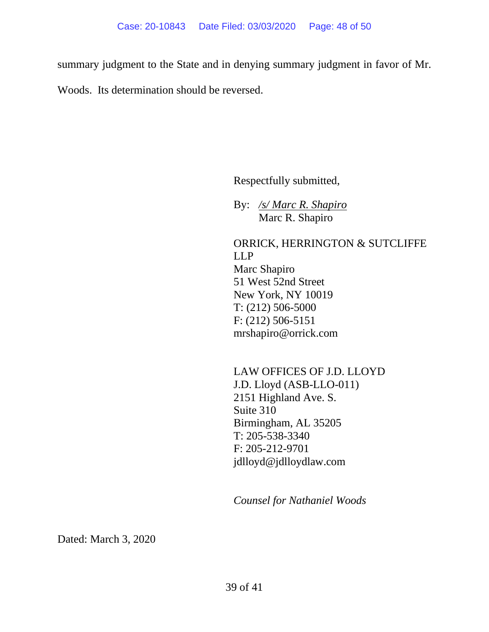summary judgment to the State and in denying summary judgment in favor of Mr.

Woods. Its determination should be reversed.

Respectfully submitted,

By: */s/ Marc R. Shapiro* Marc R. Shapiro

ORRICK, HERRINGTON & SUTCLIFFE LLP Marc Shapiro 51 West 52nd Street New York, NY 10019 T: (212) 506-5000 F: (212) 506-5151 [mrshapiro@orrick.com](mailto:mrshapiro@orrick.com)

LAW OFFICES OF J.D. LLOYD J.D. Lloyd (ASB-LLO-011) 2151 Highland Ave. S. Suite 310 Birmingham, AL 35205 T: 205-538-3340 F: 205-212-9701 [jdlloyd@jdlloydlaw.com](mailto:jdlloyd@jdllodylaw.com) 

*Counsel for Nathaniel Woods* 

Dated: March 3, 2020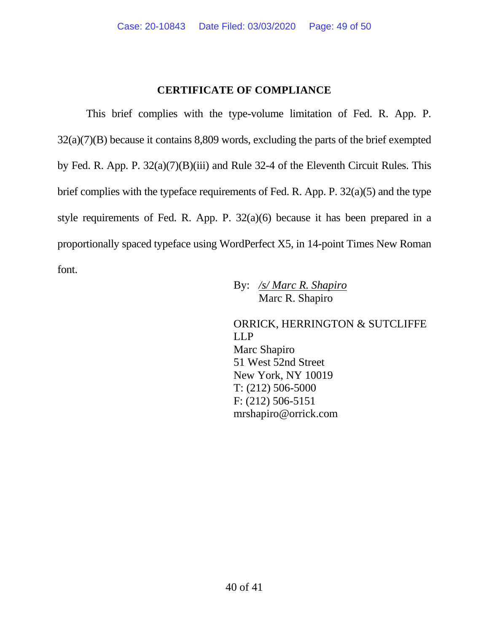## **CERTIFICATE OF COMPLIANCE**

This brief complies with the type-volume limitation of Fed. R. App. P. 32(a)(7)(B) because it contains 8,809 words, excluding the parts of the brief exempted by Fed. R. App. P. 32(a)(7)(B)(iii) and Rule 32-4 of the Eleventh Circuit Rules. This brief complies with the typeface requirements of Fed. R. App. P. 32(a)(5) and the type style requirements of Fed. R. App. P. 32(a)(6) because it has been prepared in a proportionally spaced typeface using WordPerfect X5, in 14-point Times New Roman font.

By: */s/ Marc R. Shapiro* Marc R. Shapiro

ORRICK, HERRINGTON & SUTCLIFFE LLP Marc Shapiro 51 West 52nd Street New York, NY 10019 T: (212) 506-5000 F: (212) 506-5151 [mrshapiro@orrick.com](mailto:mrshapiro@orrick.com)